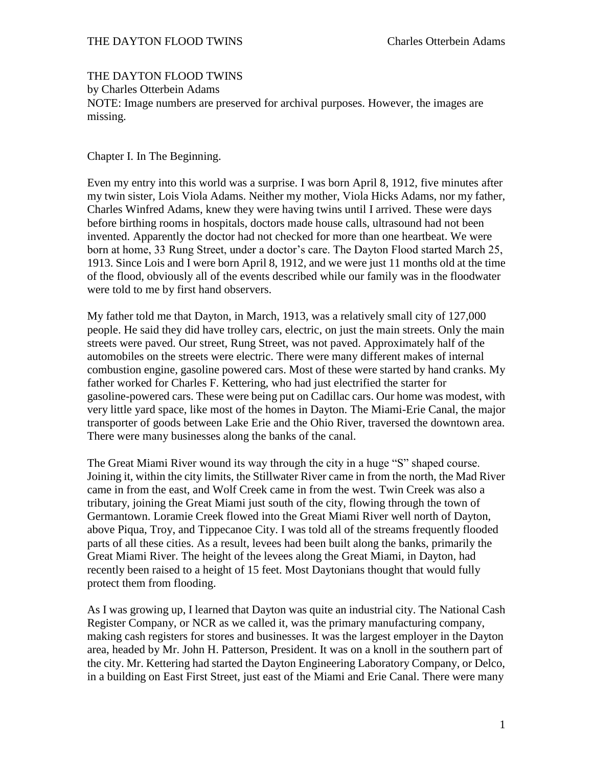## THE DAYTON FLOOD TWINS Charles Otterbein Adams

## THE DAYTON FLOOD TWINS

by Charles Otterbein Adams

NOTE: Image numbers are preserved for archival purposes. However, the images are missing.

Chapter I. In The Beginning.

Even my entry into this world was a surprise. I was born April 8, 1912, five minutes after my twin sister, Lois Viola Adams. Neither my mother, Viola Hicks Adams, nor my father, Charles Winfred Adams, knew they were having twins until I arrived. These were days before birthing rooms in hospitals, doctors made house calls, ultrasound had not been invented. Apparently the doctor had not checked for more than one heartbeat. We were born at home, 33 Rung Street, under a doctor's care. The Dayton Flood started March 25, 1913. Since Lois and I were born April 8, 1912, and we were just 11 months old at the time of the flood, obviously all of the events described while our family was in the floodwater were told to me by first hand observers.

My father told me that Dayton, in March, 1913, was a relatively small city of 127,000 people. He said they did have trolley cars, electric, on just the main streets. Only the main streets were paved. Our street, Rung Street, was not paved. Approximately half of the automobiles on the streets were electric. There were many different makes of internal combustion engine, gasoline powered cars. Most of these were started by hand cranks. My father worked for Charles F. Kettering, who had just electrified the starter for gasoline-powered cars. These were being put on Cadillac cars. Our home was modest, with very little yard space, like most of the homes in Dayton. The Miami-Erie Canal, the major transporter of goods between Lake Erie and the Ohio River, traversed the downtown area. There were many businesses along the banks of the canal.

The Great Miami River wound its way through the city in a huge "S" shaped course. Joining it, within the city limits, the Stillwater River came in from the north, the Mad River came in from the east, and Wolf Creek came in from the west. Twin Creek was also a tributary, joining the Great Miami just south of the city, flowing through the town of Germantown. Loramie Creek flowed into the Great Miami River well north of Dayton, above Piqua, Troy, and Tippecanoe City. I was told all of the streams frequently flooded parts of all these cities. As a result, levees had been built along the banks, primarily the Great Miami River. The height of the levees along the Great Miami, in Dayton, had recently been raised to a height of 15 feet. Most Daytonians thought that would fully protect them from flooding.

As I was growing up, I learned that Dayton was quite an industrial city. The National Cash Register Company, or NCR as we called it, was the primary manufacturing company, making cash registers for stores and businesses. It was the largest employer in the Dayton area, headed by Mr. John H. Patterson, President. It was on a knoll in the southern part of the city. Mr. Kettering had started the Dayton Engineering Laboratory Company, or Delco, in a building on East First Street, just east of the Miami and Erie Canal. There were many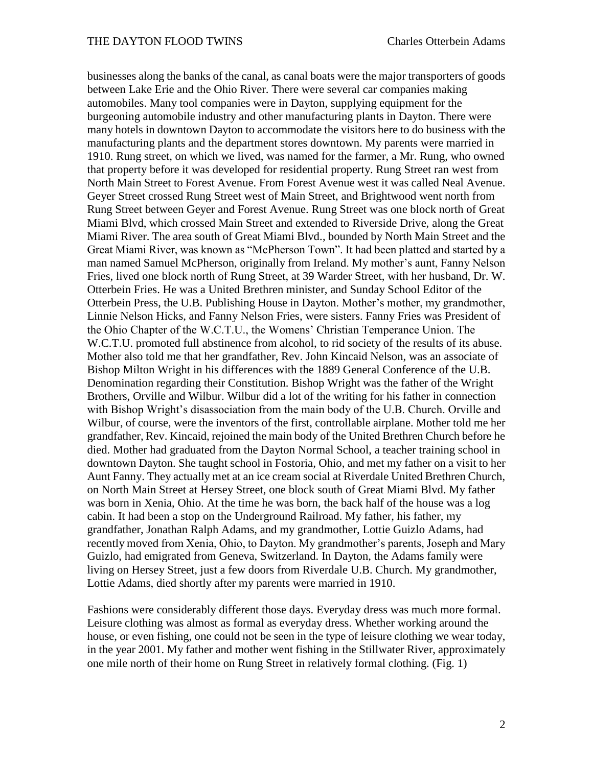businesses along the banks of the canal, as canal boats were the major transporters of goods between Lake Erie and the Ohio River. There were several car companies making automobiles. Many tool companies were in Dayton, supplying equipment for the burgeoning automobile industry and other manufacturing plants in Dayton. There were many hotels in downtown Dayton to accommodate the visitors here to do business with the manufacturing plants and the department stores downtown. My parents were married in 1910. Rung street, on which we lived, was named for the farmer, a Mr. Rung, who owned that property before it was developed for residential property. Rung Street ran west from North Main Street to Forest Avenue. From Forest Avenue west it was called Neal Avenue. Geyer Street crossed Rung Street west of Main Street, and Brightwood went north from Rung Street between Geyer and Forest Avenue. Rung Street was one block north of Great Miami Blvd, which crossed Main Street and extended to Riverside Drive, along the Great Miami River. The area south of Great Miami Blvd., bounded by North Main Street and the Great Miami River, was known as "McPherson Town". It had been platted and started by a man named Samuel McPherson, originally from Ireland. My mother's aunt, Fanny Nelson Fries, lived one block north of Rung Street, at 39 Warder Street, with her husband, Dr. W. Otterbein Fries. He was a United Brethren minister, and Sunday School Editor of the Otterbein Press, the U.B. Publishing House in Dayton. Mother's mother, my grandmother, Linnie Nelson Hicks, and Fanny Nelson Fries, were sisters. Fanny Fries was President of the Ohio Chapter of the W.C.T.U., the Womens' Christian Temperance Union. The W.C.T.U. promoted full abstinence from alcohol, to rid society of the results of its abuse. Mother also told me that her grandfather, Rev. John Kincaid Nelson, was an associate of Bishop Milton Wright in his differences with the 1889 General Conference of the U.B. Denomination regarding their Constitution. Bishop Wright was the father of the Wright Brothers, Orville and Wilbur. Wilbur did a lot of the writing for his father in connection with Bishop Wright's disassociation from the main body of the U.B. Church. Orville and Wilbur, of course, were the inventors of the first, controllable airplane. Mother told me her grandfather, Rev. Kincaid, rejoined the main body of the United Brethren Church before he died. Mother had graduated from the Dayton Normal School, a teacher training school in downtown Dayton. She taught school in Fostoria, Ohio, and met my father on a visit to her Aunt Fanny. They actually met at an ice cream social at Riverdale United Brethren Church, on North Main Street at Hersey Street, one block south of Great Miami Blvd. My father was born in Xenia, Ohio. At the time he was born, the back half of the house was a log cabin. It had been a stop on the Underground Railroad. My father, his father, my grandfather, Jonathan Ralph Adams, and my grandmother, Lottie Guizlo Adams, had recently moved from Xenia, Ohio, to Dayton. My grandmother's parents, Joseph and Mary Guizlo, had emigrated from Geneva, Switzerland. In Dayton, the Adams family were living on Hersey Street, just a few doors from Riverdale U.B. Church. My grandmother, Lottie Adams, died shortly after my parents were married in 1910.

Fashions were considerably different those days. Everyday dress was much more formal. Leisure clothing was almost as formal as everyday dress. Whether working around the house, or even fishing, one could not be seen in the type of leisure clothing we wear today, in the year 2001. My father and mother went fishing in the Stillwater River, approximately one mile north of their home on Rung Street in relatively formal clothing. (Fig. 1)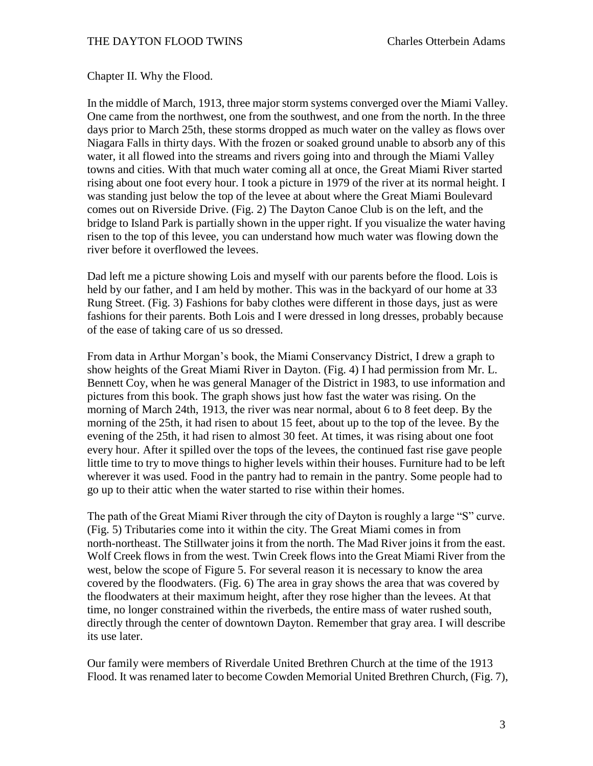Chapter II. Why the Flood.

In the middle of March, 1913, three major storm systems converged over the Miami Valley. One came from the northwest, one from the southwest, and one from the north. In the three days prior to March 25th, these storms dropped as much water on the valley as flows over Niagara Falls in thirty days. With the frozen or soaked ground unable to absorb any of this water, it all flowed into the streams and rivers going into and through the Miami Valley towns and cities. With that much water coming all at once, the Great Miami River started rising about one foot every hour. I took a picture in 1979 of the river at its normal height. I was standing just below the top of the levee at about where the Great Miami Boulevard comes out on Riverside Drive. (Fig. 2) The Dayton Canoe Club is on the left, and the bridge to Island Park is partially shown in the upper right. If you visualize the water having risen to the top of this levee, you can understand how much water was flowing down the river before it overflowed the levees.

Dad left me a picture showing Lois and myself with our parents before the flood. Lois is held by our father, and I am held by mother. This was in the backyard of our home at 33 Rung Street. (Fig. 3) Fashions for baby clothes were different in those days, just as were fashions for their parents. Both Lois and I were dressed in long dresses, probably because of the ease of taking care of us so dressed.

From data in Arthur Morgan's book, the Miami Conservancy District, I drew a graph to show heights of the Great Miami River in Dayton. (Fig. 4) I had permission from Mr. L. Bennett Coy, when he was general Manager of the District in 1983, to use information and pictures from this book. The graph shows just how fast the water was rising. On the morning of March 24th, 1913, the river was near normal, about 6 to 8 feet deep. By the morning of the 25th, it had risen to about 15 feet, about up to the top of the levee. By the evening of the 25th, it had risen to almost 30 feet. At times, it was rising about one foot every hour. After it spilled over the tops of the levees, the continued fast rise gave people little time to try to move things to higher levels within their houses. Furniture had to be left wherever it was used. Food in the pantry had to remain in the pantry. Some people had to go up to their attic when the water started to rise within their homes.

The path of the Great Miami River through the city of Dayton is roughly a large "S" curve. (Fig. 5) Tributaries come into it within the city. The Great Miami comes in from north-northeast. The Stillwater joins it from the north. The Mad River joins it from the east. Wolf Creek flows in from the west. Twin Creek flows into the Great Miami River from the west, below the scope of Figure 5. For several reason it is necessary to know the area covered by the floodwaters. (Fig. 6) The area in gray shows the area that was covered by the floodwaters at their maximum height, after they rose higher than the levees. At that time, no longer constrained within the riverbeds, the entire mass of water rushed south, directly through the center of downtown Dayton. Remember that gray area. I will describe its use later.

Our family were members of Riverdale United Brethren Church at the time of the 1913 Flood. It was renamed later to become Cowden Memorial United Brethren Church, (Fig. 7),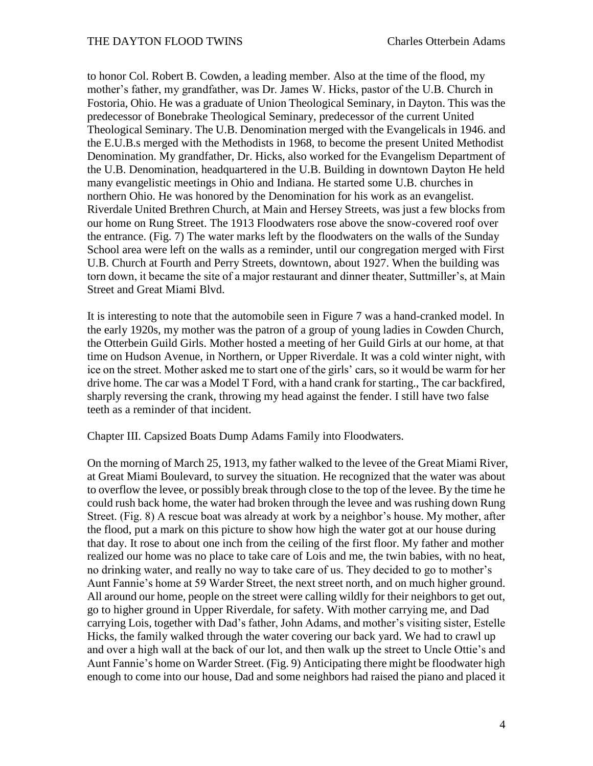to honor Col. Robert B. Cowden, a leading member. Also at the time of the flood, my mother's father, my grandfather, was Dr. James W. Hicks, pastor of the U.B. Church in Fostoria, Ohio. He was a graduate of Union Theological Seminary, in Dayton. This was the predecessor of Bonebrake Theological Seminary, predecessor of the current United Theological Seminary. The U.B. Denomination merged with the Evangelicals in 1946. and the E.U.B.s merged with the Methodists in 1968, to become the present United Methodist Denomination. My grandfather, Dr. Hicks, also worked for the Evangelism Department of the U.B. Denomination, headquartered in the U.B. Building in downtown Dayton He held many evangelistic meetings in Ohio and Indiana. He started some U.B. churches in northern Ohio. He was honored by the Denomination for his work as an evangelist. Riverdale United Brethren Church, at Main and Hersey Streets, was just a few blocks from our home on Rung Street. The 1913 Floodwaters rose above the snow-covered roof over the entrance. (Fig. 7) The water marks left by the floodwaters on the walls of the Sunday School area were left on the walls as a reminder, until our congregation merged with First U.B. Church at Fourth and Perry Streets, downtown, about 1927. When the building was torn down, it became the site of a major restaurant and dinner theater, Suttmiller's, at Main Street and Great Miami Blvd.

It is interesting to note that the automobile seen in Figure 7 was a hand-cranked model. In the early 1920s, my mother was the patron of a group of young ladies in Cowden Church, the Otterbein Guild Girls. Mother hosted a meeting of her Guild Girls at our home, at that time on Hudson Avenue, in Northern, or Upper Riverdale. It was a cold winter night, with ice on the street. Mother asked me to start one of the girls' cars, so it would be warm for her drive home. The car was a Model T Ford, with a hand crank for starting., The car backfired, sharply reversing the crank, throwing my head against the fender. I still have two false teeth as a reminder of that incident.

Chapter III. Capsized Boats Dump Adams Family into Floodwaters.

On the morning of March 25, 1913, my father walked to the levee of the Great Miami River, at Great Miami Boulevard, to survey the situation. He recognized that the water was about to overflow the levee, or possibly break through close to the top of the levee. By the time he could rush back home, the water had broken through the levee and was rushing down Rung Street. (Fig. 8) A rescue boat was already at work by a neighbor's house. My mother, after the flood, put a mark on this picture to show how high the water got at our house during that day. It rose to about one inch from the ceiling of the first floor. My father and mother realized our home was no place to take care of Lois and me, the twin babies, with no heat, no drinking water, and really no way to take care of us. They decided to go to mother's Aunt Fannie's home at 59 Warder Street, the next street north, and on much higher ground. All around our home, people on the street were calling wildly for their neighbors to get out, go to higher ground in Upper Riverdale, for safety. With mother carrying me, and Dad carrying Lois, together with Dad's father, John Adams, and mother's visiting sister, Estelle Hicks, the family walked through the water covering our back yard. We had to crawl up and over a high wall at the back of our lot, and then walk up the street to Uncle Ottie's and Aunt Fannie's home on Warder Street. (Fig. 9) Anticipating there might be floodwater high enough to come into our house, Dad and some neighbors had raised the piano and placed it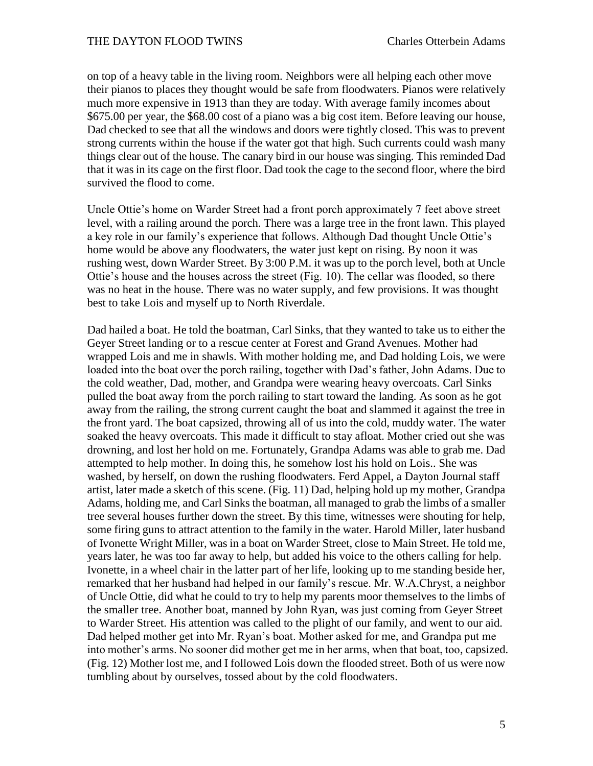on top of a heavy table in the living room. Neighbors were all helping each other move their pianos to places they thought would be safe from floodwaters. Pianos were relatively much more expensive in 1913 than they are today. With average family incomes about \$675.00 per year, the \$68.00 cost of a piano was a big cost item. Before leaving our house, Dad checked to see that all the windows and doors were tightly closed. This was to prevent strong currents within the house if the water got that high. Such currents could wash many things clear out of the house. The canary bird in our house was singing. This reminded Dad that it was in its cage on the first floor. Dad took the cage to the second floor, where the bird survived the flood to come.

Uncle Ottie's home on Warder Street had a front porch approximately 7 feet above street level, with a railing around the porch. There was a large tree in the front lawn. This played a key role in our family's experience that follows. Although Dad thought Uncle Ottie's home would be above any floodwaters, the water just kept on rising. By noon it was rushing west, down Warder Street. By 3:00 P.M. it was up to the porch level, both at Uncle Ottie's house and the houses across the street (Fig. 10). The cellar was flooded, so there was no heat in the house. There was no water supply, and few provisions. It was thought best to take Lois and myself up to North Riverdale.

Dad hailed a boat. He told the boatman, Carl Sinks, that they wanted to take us to either the Geyer Street landing or to a rescue center at Forest and Grand Avenues. Mother had wrapped Lois and me in shawls. With mother holding me, and Dad holding Lois, we were loaded into the boat over the porch railing, together with Dad's father, John Adams. Due to the cold weather, Dad, mother, and Grandpa were wearing heavy overcoats. Carl Sinks pulled the boat away from the porch railing to start toward the landing. As soon as he got away from the railing, the strong current caught the boat and slammed it against the tree in the front yard. The boat capsized, throwing all of us into the cold, muddy water. The water soaked the heavy overcoats. This made it difficult to stay afloat. Mother cried out she was drowning, and lost her hold on me. Fortunately, Grandpa Adams was able to grab me. Dad attempted to help mother. In doing this, he somehow lost his hold on Lois.. She was washed, by herself, on down the rushing floodwaters. Ferd Appel, a Dayton Journal staff artist, later made a sketch of this scene. (Fig. 11) Dad, helping hold up my mother, Grandpa Adams, holding me, and Carl Sinks the boatman, all managed to grab the limbs of a smaller tree several houses further down the street. By this time, witnesses were shouting for help, some firing guns to attract attention to the family in the water. Harold Miller, later husband of Ivonette Wright Miller, was in a boat on Warder Street, close to Main Street. He told me, years later, he was too far away to help, but added his voice to the others calling for help. Ivonette, in a wheel chair in the latter part of her life, looking up to me standing beside her, remarked that her husband had helped in our family's rescue. Mr. W.A.Chryst, a neighbor of Uncle Ottie, did what he could to try to help my parents moor themselves to the limbs of the smaller tree. Another boat, manned by John Ryan, was just coming from Geyer Street to Warder Street. His attention was called to the plight of our family, and went to our aid. Dad helped mother get into Mr. Ryan's boat. Mother asked for me, and Grandpa put me into mother's arms. No sooner did mother get me in her arms, when that boat, too, capsized. (Fig. 12) Mother lost me, and I followed Lois down the flooded street. Both of us were now tumbling about by ourselves, tossed about by the cold floodwaters.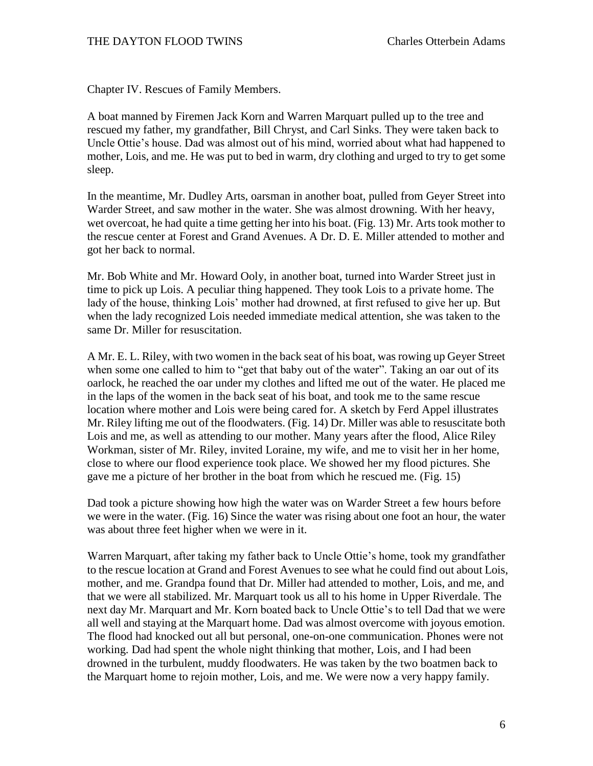Chapter IV. Rescues of Family Members.

A boat manned by Firemen Jack Korn and Warren Marquart pulled up to the tree and rescued my father, my grandfather, Bill Chryst, and Carl Sinks. They were taken back to Uncle Ottie's house. Dad was almost out of his mind, worried about what had happened to mother, Lois, and me. He was put to bed in warm, dry clothing and urged to try to get some sleep.

In the meantime, Mr. Dudley Arts, oarsman in another boat, pulled from Geyer Street into Warder Street, and saw mother in the water. She was almost drowning. With her heavy, wet overcoat, he had quite a time getting her into his boat. (Fig. 13) Mr. Arts took mother to the rescue center at Forest and Grand Avenues. A Dr. D. E. Miller attended to mother and got her back to normal.

Mr. Bob White and Mr. Howard Ooly, in another boat, turned into Warder Street just in time to pick up Lois. A peculiar thing happened. They took Lois to a private home. The lady of the house, thinking Lois' mother had drowned, at first refused to give her up. But when the lady recognized Lois needed immediate medical attention, she was taken to the same Dr. Miller for resuscitation.

A Mr. E. L. Riley, with two women in the back seat of his boat, was rowing up Geyer Street when some one called to him to "get that baby out of the water". Taking an oar out of its oarlock, he reached the oar under my clothes and lifted me out of the water. He placed me in the laps of the women in the back seat of his boat, and took me to the same rescue location where mother and Lois were being cared for. A sketch by Ferd Appel illustrates Mr. Riley lifting me out of the floodwaters. (Fig. 14) Dr. Miller was able to resuscitate both Lois and me, as well as attending to our mother. Many years after the flood, Alice Riley Workman, sister of Mr. Riley, invited Loraine, my wife, and me to visit her in her home, close to where our flood experience took place. We showed her my flood pictures. She gave me a picture of her brother in the boat from which he rescued me. (Fig. 15)

Dad took a picture showing how high the water was on Warder Street a few hours before we were in the water. (Fig. 16) Since the water was rising about one foot an hour, the water was about three feet higher when we were in it.

Warren Marquart, after taking my father back to Uncle Ottie's home, took my grandfather to the rescue location at Grand and Forest Avenues to see what he could find out about Lois, mother, and me. Grandpa found that Dr. Miller had attended to mother, Lois, and me, and that we were all stabilized. Mr. Marquart took us all to his home in Upper Riverdale. The next day Mr. Marquart and Mr. Korn boated back to Uncle Ottie's to tell Dad that we were all well and staying at the Marquart home. Dad was almost overcome with joyous emotion. The flood had knocked out all but personal, one-on-one communication. Phones were not working. Dad had spent the whole night thinking that mother, Lois, and I had been drowned in the turbulent, muddy floodwaters. He was taken by the two boatmen back to the Marquart home to rejoin mother, Lois, and me. We were now a very happy family.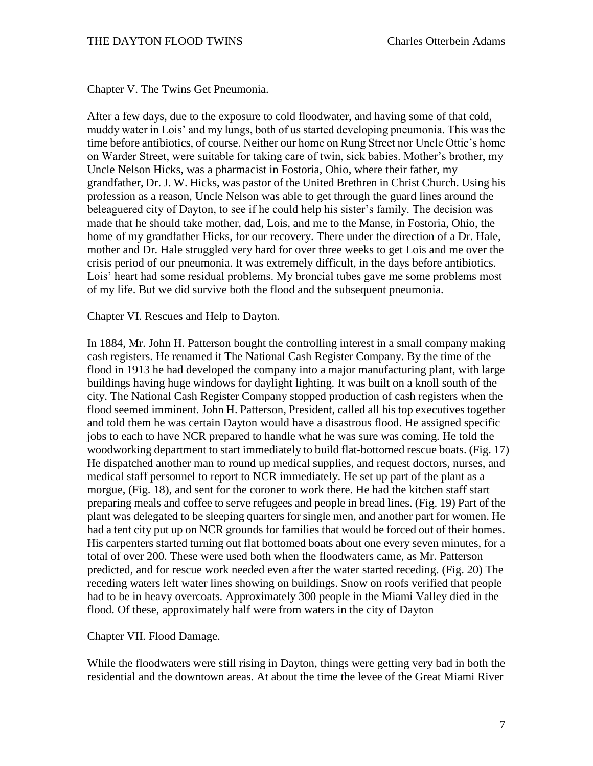Chapter V. The Twins Get Pneumonia.

After a few days, due to the exposure to cold floodwater, and having some of that cold, muddy water in Lois' and my lungs, both of us started developing pneumonia. This was the time before antibiotics, of course. Neither our home on Rung Street nor Uncle Ottie's home on Warder Street, were suitable for taking care of twin, sick babies. Mother's brother, my Uncle Nelson Hicks, was a pharmacist in Fostoria, Ohio, where their father, my grandfather, Dr. J. W. Hicks, was pastor of the United Brethren in Christ Church. Using his profession as a reason, Uncle Nelson was able to get through the guard lines around the beleaguered city of Dayton, to see if he could help his sister's family. The decision was made that he should take mother, dad, Lois, and me to the Manse, in Fostoria, Ohio, the home of my grandfather Hicks, for our recovery. There under the direction of a Dr. Hale, mother and Dr. Hale struggled very hard for over three weeks to get Lois and me over the crisis period of our pneumonia. It was extremely difficult, in the days before antibiotics. Lois' heart had some residual problems. My broncial tubes gave me some problems most of my life. But we did survive both the flood and the subsequent pneumonia.

Chapter VI. Rescues and Help to Dayton.

In 1884, Mr. John H. Patterson bought the controlling interest in a small company making cash registers. He renamed it The National Cash Register Company. By the time of the flood in 1913 he had developed the company into a major manufacturing plant, with large buildings having huge windows for daylight lighting. It was built on a knoll south of the city. The National Cash Register Company stopped production of cash registers when the flood seemed imminent. John H. Patterson, President, called all his top executives together and told them he was certain Dayton would have a disastrous flood. He assigned specific jobs to each to have NCR prepared to handle what he was sure was coming. He told the woodworking department to start immediately to build flat-bottomed rescue boats. (Fig. 17) He dispatched another man to round up medical supplies, and request doctors, nurses, and medical staff personnel to report to NCR immediately. He set up part of the plant as a morgue, (Fig. 18), and sent for the coroner to work there. He had the kitchen staff start preparing meals and coffee to serve refugees and people in bread lines. (Fig. 19) Part of the plant was delegated to be sleeping quarters for single men, and another part for women. He had a tent city put up on NCR grounds for families that would be forced out of their homes. His carpenters started turning out flat bottomed boats about one every seven minutes, for a total of over 200. These were used both when the floodwaters came, as Mr. Patterson predicted, and for rescue work needed even after the water started receding. (Fig. 20) The receding waters left water lines showing on buildings. Snow on roofs verified that people had to be in heavy overcoats. Approximately 300 people in the Miami Valley died in the flood. Of these, approximately half were from waters in the city of Dayton

Chapter VII. Flood Damage.

While the floodwaters were still rising in Dayton, things were getting very bad in both the residential and the downtown areas. At about the time the levee of the Great Miami River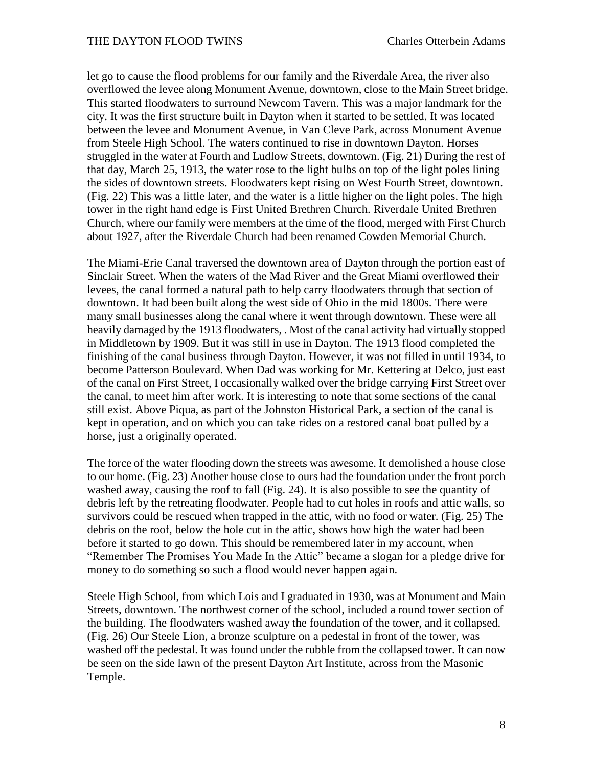let go to cause the flood problems for our family and the Riverdale Area, the river also overflowed the levee along Monument Avenue, downtown, close to the Main Street bridge. This started floodwaters to surround Newcom Tavern. This was a major landmark for the city. It was the first structure built in Dayton when it started to be settled. It was located between the levee and Monument Avenue, in Van Cleve Park, across Monument Avenue from Steele High School. The waters continued to rise in downtown Dayton. Horses struggled in the water at Fourth and Ludlow Streets, downtown. (Fig. 21) During the rest of that day, March 25, 1913, the water rose to the light bulbs on top of the light poles lining the sides of downtown streets. Floodwaters kept rising on West Fourth Street, downtown. (Fig. 22) This was a little later, and the water is a little higher on the light poles. The high tower in the right hand edge is First United Brethren Church. Riverdale United Brethren Church, where our family were members at the time of the flood, merged with First Church about 1927, after the Riverdale Church had been renamed Cowden Memorial Church.

The Miami-Erie Canal traversed the downtown area of Dayton through the portion east of Sinclair Street. When the waters of the Mad River and the Great Miami overflowed their levees, the canal formed a natural path to help carry floodwaters through that section of downtown. It had been built along the west side of Ohio in the mid 1800s. There were many small businesses along the canal where it went through downtown. These were all heavily damaged by the 1913 floodwaters, . Most of the canal activity had virtually stopped in Middletown by 1909. But it was still in use in Dayton. The 1913 flood completed the finishing of the canal business through Dayton. However, it was not filled in until 1934, to become Patterson Boulevard. When Dad was working for Mr. Kettering at Delco, just east of the canal on First Street, I occasionally walked over the bridge carrying First Street over the canal, to meet him after work. It is interesting to note that some sections of the canal still exist. Above Piqua, as part of the Johnston Historical Park, a section of the canal is kept in operation, and on which you can take rides on a restored canal boat pulled by a horse, just a originally operated.

The force of the water flooding down the streets was awesome. It demolished a house close to our home. (Fig. 23) Another house close to ours had the foundation under the front porch washed away, causing the roof to fall (Fig. 24). It is also possible to see the quantity of debris left by the retreating floodwater. People had to cut holes in roofs and attic walls, so survivors could be rescued when trapped in the attic, with no food or water. (Fig. 25) The debris on the roof, below the hole cut in the attic, shows how high the water had been before it started to go down. This should be remembered later in my account, when "Remember The Promises You Made In the Attic" became a slogan for a pledge drive for money to do something so such a flood would never happen again.

Steele High School, from which Lois and I graduated in 1930, was at Monument and Main Streets, downtown. The northwest corner of the school, included a round tower section of the building. The floodwaters washed away the foundation of the tower, and it collapsed. (Fig. 26) Our Steele Lion, a bronze sculpture on a pedestal in front of the tower, was washed off the pedestal. It was found under the rubble from the collapsed tower. It can now be seen on the side lawn of the present Dayton Art Institute, across from the Masonic Temple.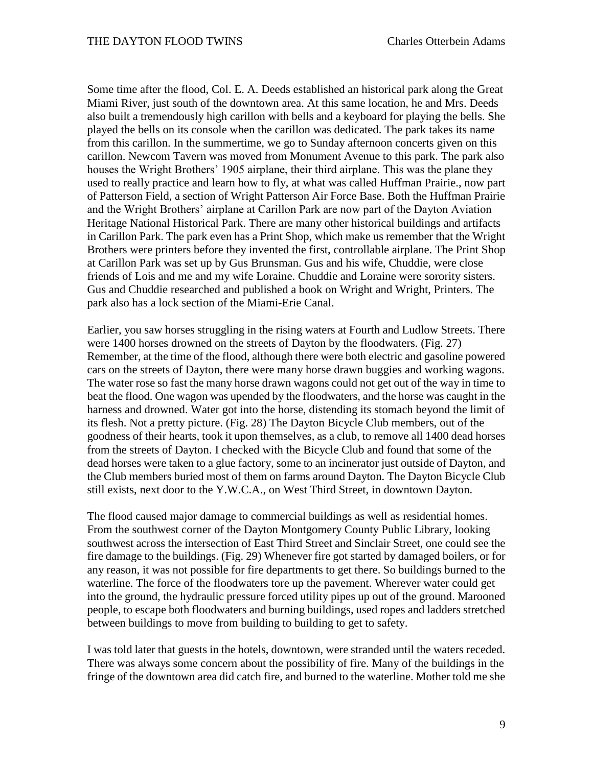Some time after the flood, Col. E. A. Deeds established an historical park along the Great Miami River, just south of the downtown area. At this same location, he and Mrs. Deeds also built a tremendously high carillon with bells and a keyboard for playing the bells. She played the bells on its console when the carillon was dedicated. The park takes its name from this carillon. In the summertime, we go to Sunday afternoon concerts given on this carillon. Newcom Tavern was moved from Monument Avenue to this park. The park also houses the Wright Brothers' 1905 airplane, their third airplane. This was the plane they used to really practice and learn how to fly, at what was called Huffman Prairie., now part of Patterson Field, a section of Wright Patterson Air Force Base. Both the Huffman Prairie and the Wright Brothers' airplane at Carillon Park are now part of the Dayton Aviation Heritage National Historical Park. There are many other historical buildings and artifacts in Carillon Park. The park even has a Print Shop, which make us remember that the Wright Brothers were printers before they invented the first, controllable airplane. The Print Shop at Carillon Park was set up by Gus Brunsman. Gus and his wife, Chuddie, were close friends of Lois and me and my wife Loraine. Chuddie and Loraine were sorority sisters. Gus and Chuddie researched and published a book on Wright and Wright, Printers. The park also has a lock section of the Miami-Erie Canal.

Earlier, you saw horses struggling in the rising waters at Fourth and Ludlow Streets. There were 1400 horses drowned on the streets of Dayton by the floodwaters. (Fig. 27) Remember, at the time of the flood, although there were both electric and gasoline powered cars on the streets of Dayton, there were many horse drawn buggies and working wagons. The water rose so fast the many horse drawn wagons could not get out of the way in time to beat the flood. One wagon was upended by the floodwaters, and the horse was caught in the harness and drowned. Water got into the horse, distending its stomach beyond the limit of its flesh. Not a pretty picture. (Fig. 28) The Dayton Bicycle Club members, out of the goodness of their hearts, took it upon themselves, as a club, to remove all 1400 dead horses from the streets of Dayton. I checked with the Bicycle Club and found that some of the dead horses were taken to a glue factory, some to an incinerator just outside of Dayton, and the Club members buried most of them on farms around Dayton. The Dayton Bicycle Club still exists, next door to the Y.W.C.A., on West Third Street, in downtown Dayton.

The flood caused major damage to commercial buildings as well as residential homes. From the southwest corner of the Dayton Montgomery County Public Library, looking southwest across the intersection of East Third Street and Sinclair Street, one could see the fire damage to the buildings. (Fig. 29) Whenever fire got started by damaged boilers, or for any reason, it was not possible for fire departments to get there. So buildings burned to the waterline. The force of the floodwaters tore up the pavement. Wherever water could get into the ground, the hydraulic pressure forced utility pipes up out of the ground. Marooned people, to escape both floodwaters and burning buildings, used ropes and ladders stretched between buildings to move from building to building to get to safety.

I was told later that guests in the hotels, downtown, were stranded until the waters receded. There was always some concern about the possibility of fire. Many of the buildings in the fringe of the downtown area did catch fire, and burned to the waterline. Mother told me she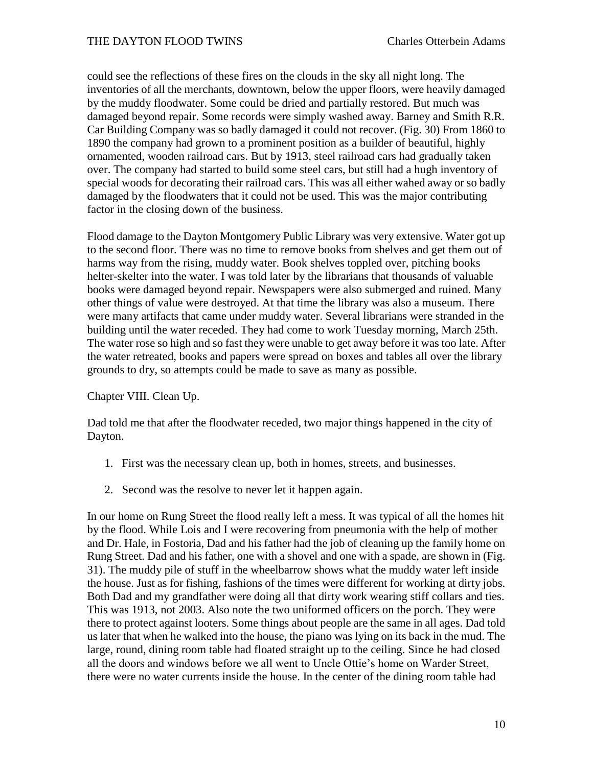## THE DAYTON FLOOD TWINS Charles Otterbein Adams

could see the reflections of these fires on the clouds in the sky all night long. The inventories of all the merchants, downtown, below the upper floors, were heavily damaged by the muddy floodwater. Some could be dried and partially restored. But much was damaged beyond repair. Some records were simply washed away. Barney and Smith R.R. Car Building Company was so badly damaged it could not recover. (Fig. 30) From 1860 to 1890 the company had grown to a prominent position as a builder of beautiful, highly ornamented, wooden railroad cars. But by 1913, steel railroad cars had gradually taken over. The company had started to build some steel cars, but still had a hugh inventory of special woods for decorating their railroad cars. This was all either wahed away or so badly damaged by the floodwaters that it could not be used. This was the major contributing factor in the closing down of the business.

Flood damage to the Dayton Montgomery Public Library was very extensive. Water got up to the second floor. There was no time to remove books from shelves and get them out of harms way from the rising, muddy water. Book shelves toppled over, pitching books helter-skelter into the water. I was told later by the librarians that thousands of valuable books were damaged beyond repair. Newspapers were also submerged and ruined. Many other things of value were destroyed. At that time the library was also a museum. There were many artifacts that came under muddy water. Several librarians were stranded in the building until the water receded. They had come to work Tuesday morning, March 25th. The water rose so high and so fast they were unable to get away before it was too late. After the water retreated, books and papers were spread on boxes and tables all over the library grounds to dry, so attempts could be made to save as many as possible.

Chapter VIII. Clean Up.

Dad told me that after the floodwater receded, two major things happened in the city of Dayton.

- 1. First was the necessary clean up, both in homes, streets, and businesses.
- 2. Second was the resolve to never let it happen again.

In our home on Rung Street the flood really left a mess. It was typical of all the homes hit by the flood. While Lois and I were recovering from pneumonia with the help of mother and Dr. Hale, in Fostoria, Dad and his father had the job of cleaning up the family home on Rung Street. Dad and his father, one with a shovel and one with a spade, are shown in (Fig. 31). The muddy pile of stuff in the wheelbarrow shows what the muddy water left inside the house. Just as for fishing, fashions of the times were different for working at dirty jobs. Both Dad and my grandfather were doing all that dirty work wearing stiff collars and ties. This was 1913, not 2003. Also note the two uniformed officers on the porch. They were there to protect against looters. Some things about people are the same in all ages. Dad told us later that when he walked into the house, the piano was lying on its back in the mud. The large, round, dining room table had floated straight up to the ceiling. Since he had closed all the doors and windows before we all went to Uncle Ottie's home on Warder Street, there were no water currents inside the house. In the center of the dining room table had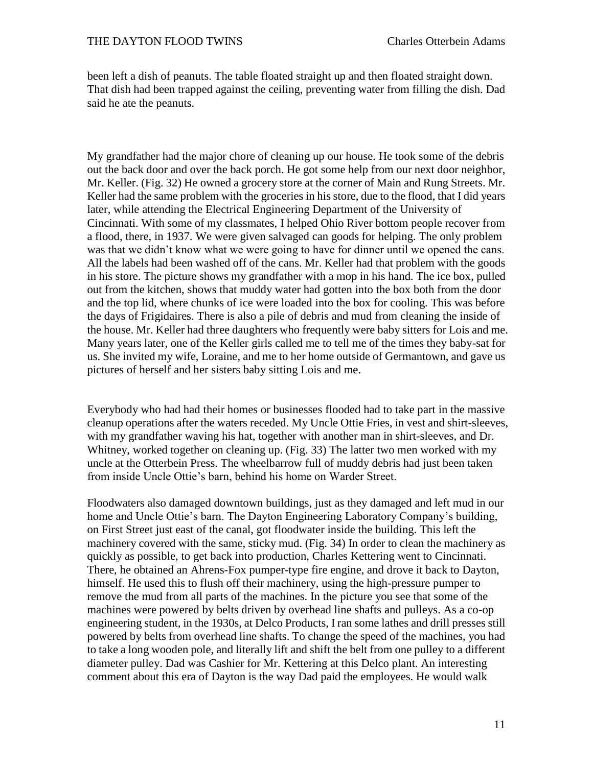been left a dish of peanuts. The table floated straight up and then floated straight down. That dish had been trapped against the ceiling, preventing water from filling the dish. Dad said he ate the peanuts.

My grandfather had the major chore of cleaning up our house. He took some of the debris out the back door and over the back porch. He got some help from our next door neighbor, Mr. Keller. (Fig. 32) He owned a grocery store at the corner of Main and Rung Streets. Mr. Keller had the same problem with the groceries in his store, due to the flood, that I did years later, while attending the Electrical Engineering Department of the University of Cincinnati. With some of my classmates, I helped Ohio River bottom people recover from a flood, there, in 1937. We were given salvaged can goods for helping. The only problem was that we didn't know what we were going to have for dinner until we opened the cans. All the labels had been washed off of the cans. Mr. Keller had that problem with the goods in his store. The picture shows my grandfather with a mop in his hand. The ice box, pulled out from the kitchen, shows that muddy water had gotten into the box both from the door and the top lid, where chunks of ice were loaded into the box for cooling. This was before the days of Frigidaires. There is also a pile of debris and mud from cleaning the inside of the house. Mr. Keller had three daughters who frequently were baby sitters for Lois and me. Many years later, one of the Keller girls called me to tell me of the times they baby-sat for us. She invited my wife, Loraine, and me to her home outside of Germantown, and gave us pictures of herself and her sisters baby sitting Lois and me.

Everybody who had had their homes or businesses flooded had to take part in the massive cleanup operations after the waters receded. My Uncle Ottie Fries, in vest and shirt-sleeves, with my grandfather waving his hat, together with another man in shirt-sleeves, and Dr. Whitney, worked together on cleaning up. (Fig. 33) The latter two men worked with my uncle at the Otterbein Press. The wheelbarrow full of muddy debris had just been taken from inside Uncle Ottie's barn, behind his home on Warder Street.

Floodwaters also damaged downtown buildings, just as they damaged and left mud in our home and Uncle Ottie's barn. The Dayton Engineering Laboratory Company's building, on First Street just east of the canal, got floodwater inside the building. This left the machinery covered with the same, sticky mud. (Fig. 34) In order to clean the machinery as quickly as possible, to get back into production, Charles Kettering went to Cincinnati. There, he obtained an Ahrens-Fox pumper-type fire engine, and drove it back to Dayton, himself. He used this to flush off their machinery, using the high-pressure pumper to remove the mud from all parts of the machines. In the picture you see that some of the machines were powered by belts driven by overhead line shafts and pulleys. As a co-op engineering student, in the 1930s, at Delco Products, I ran some lathes and drill presses still powered by belts from overhead line shafts. To change the speed of the machines, you had to take a long wooden pole, and literally lift and shift the belt from one pulley to a different diameter pulley. Dad was Cashier for Mr. Kettering at this Delco plant. An interesting comment about this era of Dayton is the way Dad paid the employees. He would walk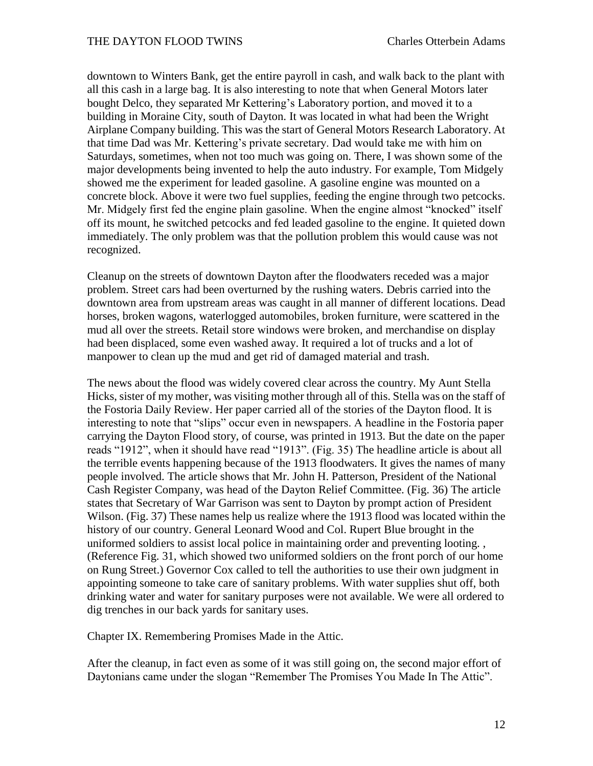downtown to Winters Bank, get the entire payroll in cash, and walk back to the plant with all this cash in a large bag. It is also interesting to note that when General Motors later bought Delco, they separated Mr Kettering's Laboratory portion, and moved it to a building in Moraine City, south of Dayton. It was located in what had been the Wright Airplane Company building. This was the start of General Motors Research Laboratory. At that time Dad was Mr. Kettering's private secretary. Dad would take me with him on Saturdays, sometimes, when not too much was going on. There, I was shown some of the major developments being invented to help the auto industry. For example, Tom Midgely showed me the experiment for leaded gasoline. A gasoline engine was mounted on a concrete block. Above it were two fuel supplies, feeding the engine through two petcocks. Mr. Midgely first fed the engine plain gasoline. When the engine almost "knocked" itself off its mount, he switched petcocks and fed leaded gasoline to the engine. It quieted down immediately. The only problem was that the pollution problem this would cause was not recognized.

Cleanup on the streets of downtown Dayton after the floodwaters receded was a major problem. Street cars had been overturned by the rushing waters. Debris carried into the downtown area from upstream areas was caught in all manner of different locations. Dead horses, broken wagons, waterlogged automobiles, broken furniture, were scattered in the mud all over the streets. Retail store windows were broken, and merchandise on display had been displaced, some even washed away. It required a lot of trucks and a lot of manpower to clean up the mud and get rid of damaged material and trash.

The news about the flood was widely covered clear across the country. My Aunt Stella Hicks, sister of my mother, was visiting mother through all of this. Stella was on the staff of the Fostoria Daily Review. Her paper carried all of the stories of the Dayton flood. It is interesting to note that "slips" occur even in newspapers. A headline in the Fostoria paper carrying the Dayton Flood story, of course, was printed in 1913. But the date on the paper reads "1912", when it should have read "1913". (Fig. 35) The headline article is about all the terrible events happening because of the 1913 floodwaters. It gives the names of many people involved. The article shows that Mr. John H. Patterson, President of the National Cash Register Company, was head of the Dayton Relief Committee. (Fig. 36) The article states that Secretary of War Garrison was sent to Dayton by prompt action of President Wilson. (Fig. 37) These names help us realize where the 1913 flood was located within the history of our country. General Leonard Wood and Col. Rupert Blue brought in the uniformed soldiers to assist local police in maintaining order and preventing looting. , (Reference Fig. 31, which showed two uniformed soldiers on the front porch of our home on Rung Street.) Governor Cox called to tell the authorities to use their own judgment in appointing someone to take care of sanitary problems. With water supplies shut off, both drinking water and water for sanitary purposes were not available. We were all ordered to dig trenches in our back yards for sanitary uses.

Chapter IX. Remembering Promises Made in the Attic.

After the cleanup, in fact even as some of it was still going on, the second major effort of Daytonians came under the slogan "Remember The Promises You Made In The Attic".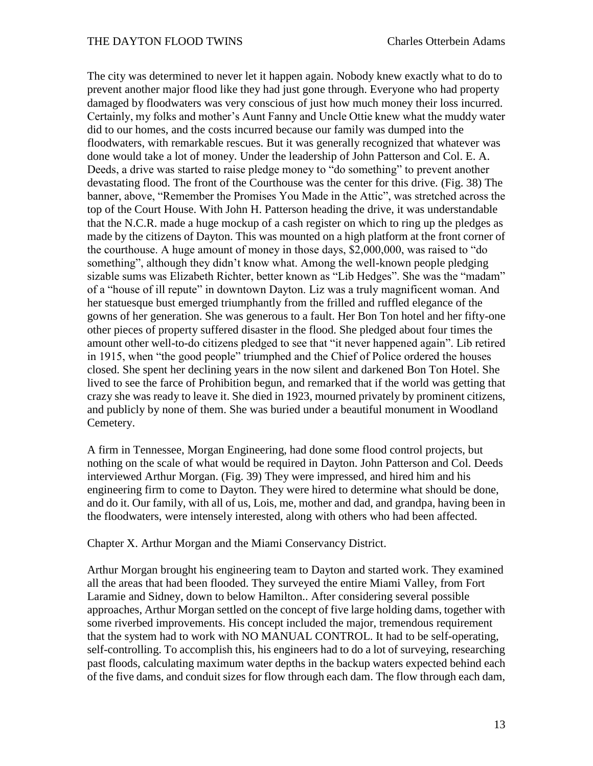The city was determined to never let it happen again. Nobody knew exactly what to do to prevent another major flood like they had just gone through. Everyone who had property damaged by floodwaters was very conscious of just how much money their loss incurred. Certainly, my folks and mother's Aunt Fanny and Uncle Ottie knew what the muddy water did to our homes, and the costs incurred because our family was dumped into the floodwaters, with remarkable rescues. But it was generally recognized that whatever was done would take a lot of money. Under the leadership of John Patterson and Col. E. A. Deeds, a drive was started to raise pledge money to "do something" to prevent another devastating flood. The front of the Courthouse was the center for this drive. (Fig. 38) The banner, above, "Remember the Promises You Made in the Attic", was stretched across the top of the Court House. With John H. Patterson heading the drive, it was understandable that the N.C.R. made a huge mockup of a cash register on which to ring up the pledges as made by the citizens of Dayton. This was mounted on a high platform at the front corner of the courthouse. A huge amount of money in those days, \$2,000,000, was raised to "do something", although they didn't know what. Among the well-known people pledging sizable sums was Elizabeth Richter, better known as "Lib Hedges". She was the "madam" of a "house of ill repute" in downtown Dayton. Liz was a truly magnificent woman. And her statuesque bust emerged triumphantly from the frilled and ruffled elegance of the gowns of her generation. She was generous to a fault. Her Bon Ton hotel and her fifty-one other pieces of property suffered disaster in the flood. She pledged about four times the amount other well-to-do citizens pledged to see that "it never happened again". Lib retired in 1915, when "the good people" triumphed and the Chief of Police ordered the houses closed. She spent her declining years in the now silent and darkened Bon Ton Hotel. She lived to see the farce of Prohibition begun, and remarked that if the world was getting that crazy she was ready to leave it. She died in 1923, mourned privately by prominent citizens, and publicly by none of them. She was buried under a beautiful monument in Woodland Cemetery.

A firm in Tennessee, Morgan Engineering, had done some flood control projects, but nothing on the scale of what would be required in Dayton. John Patterson and Col. Deeds interviewed Arthur Morgan. (Fig. 39) They were impressed, and hired him and his engineering firm to come to Dayton. They were hired to determine what should be done, and do it. Our family, with all of us, Lois, me, mother and dad, and grandpa, having been in the floodwaters, were intensely interested, along with others who had been affected.

Chapter X. Arthur Morgan and the Miami Conservancy District.

Arthur Morgan brought his engineering team to Dayton and started work. They examined all the areas that had been flooded. They surveyed the entire Miami Valley, from Fort Laramie and Sidney, down to below Hamilton.. After considering several possible approaches, Arthur Morgan settled on the concept of five large holding dams, together with some riverbed improvements. His concept included the major, tremendous requirement that the system had to work with NO MANUAL CONTROL. It had to be self-operating, self-controlling. To accomplish this, his engineers had to do a lot of surveying, researching past floods, calculating maximum water depths in the backup waters expected behind each of the five dams, and conduit sizes for flow through each dam. The flow through each dam,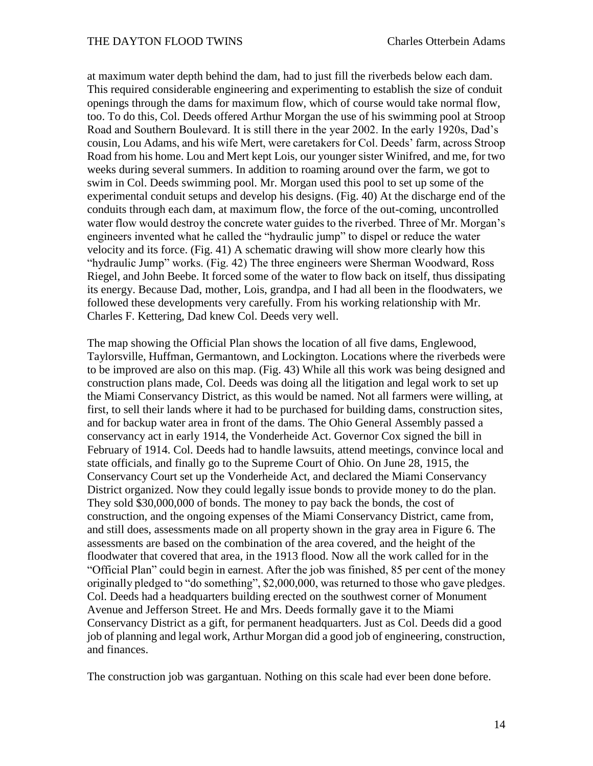at maximum water depth behind the dam, had to just fill the riverbeds below each dam. This required considerable engineering and experimenting to establish the size of conduit openings through the dams for maximum flow, which of course would take normal flow, too. To do this, Col. Deeds offered Arthur Morgan the use of his swimming pool at Stroop Road and Southern Boulevard. It is still there in the year 2002. In the early 1920s, Dad's cousin, Lou Adams, and his wife Mert, were caretakers for Col. Deeds' farm, across Stroop Road from his home. Lou and Mert kept Lois, our younger sister Winifred, and me, for two weeks during several summers. In addition to roaming around over the farm, we got to swim in Col. Deeds swimming pool. Mr. Morgan used this pool to set up some of the experimental conduit setups and develop his designs. (Fig. 40) At the discharge end of the conduits through each dam, at maximum flow, the force of the out-coming, uncontrolled water flow would destroy the concrete water guides to the riverbed. Three of Mr. Morgan's engineers invented what he called the "hydraulic jump" to dispel or reduce the water velocity and its force. (Fig. 41) A schematic drawing will show more clearly how this "hydraulic Jump" works. (Fig. 42) The three engineers were Sherman Woodward, Ross Riegel, and John Beebe. It forced some of the water to flow back on itself, thus dissipating its energy. Because Dad, mother, Lois, grandpa, and I had all been in the floodwaters, we followed these developments very carefully. From his working relationship with Mr. Charles F. Kettering, Dad knew Col. Deeds very well.

The map showing the Official Plan shows the location of all five dams, Englewood, Taylorsville, Huffman, Germantown, and Lockington. Locations where the riverbeds were to be improved are also on this map. (Fig. 43) While all this work was being designed and construction plans made, Col. Deeds was doing all the litigation and legal work to set up the Miami Conservancy District, as this would be named. Not all farmers were willing, at first, to sell their lands where it had to be purchased for building dams, construction sites, and for backup water area in front of the dams. The Ohio General Assembly passed a conservancy act in early 1914, the Vonderheide Act. Governor Cox signed the bill in February of 1914. Col. Deeds had to handle lawsuits, attend meetings, convince local and state officials, and finally go to the Supreme Court of Ohio. On June 28, 1915, the Conservancy Court set up the Vonderheide Act, and declared the Miami Conservancy District organized. Now they could legally issue bonds to provide money to do the plan. They sold \$30,000,000 of bonds. The money to pay back the bonds, the cost of construction, and the ongoing expenses of the Miami Conservancy District, came from, and still does, assessments made on all property shown in the gray area in Figure 6. The assessments are based on the combination of the area covered, and the height of the floodwater that covered that area, in the 1913 flood. Now all the work called for in the "Official Plan" could begin in earnest. After the job was finished, 85 per cent of the money originally pledged to "do something", \$2,000,000, was returned to those who gave pledges. Col. Deeds had a headquarters building erected on the southwest corner of Monument Avenue and Jefferson Street. He and Mrs. Deeds formally gave it to the Miami Conservancy District as a gift, for permanent headquarters. Just as Col. Deeds did a good job of planning and legal work, Arthur Morgan did a good job of engineering, construction, and finances.

The construction job was gargantuan. Nothing on this scale had ever been done before.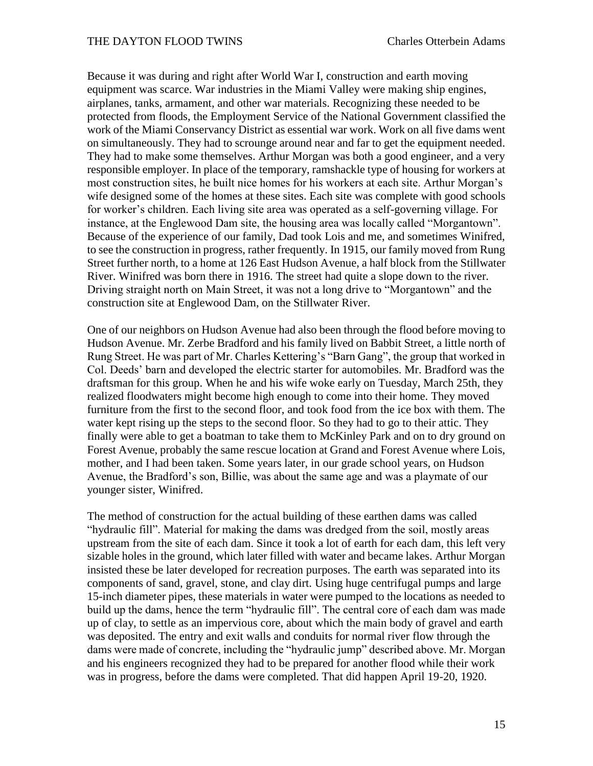Because it was during and right after World War I, construction and earth moving equipment was scarce. War industries in the Miami Valley were making ship engines, airplanes, tanks, armament, and other war materials. Recognizing these needed to be protected from floods, the Employment Service of the National Government classified the work of the Miami Conservancy District as essential war work. Work on all five dams went on simultaneously. They had to scrounge around near and far to get the equipment needed. They had to make some themselves. Arthur Morgan was both a good engineer, and a very responsible employer. In place of the temporary, ramshackle type of housing for workers at most construction sites, he built nice homes for his workers at each site. Arthur Morgan's wife designed some of the homes at these sites. Each site was complete with good schools for worker's children. Each living site area was operated as a self-governing village. For instance, at the Englewood Dam site, the housing area was locally called "Morgantown". Because of the experience of our family, Dad took Lois and me, and sometimes Winifred, to see the construction in progress, rather frequently. In 1915, our family moved from Rung Street further north, to a home at 126 East Hudson Avenue, a half block from the Stillwater River. Winifred was born there in 1916. The street had quite a slope down to the river. Driving straight north on Main Street, it was not a long drive to "Morgantown" and the construction site at Englewood Dam, on the Stillwater River.

One of our neighbors on Hudson Avenue had also been through the flood before moving to Hudson Avenue. Mr. Zerbe Bradford and his family lived on Babbit Street, a little north of Rung Street. He was part of Mr. Charles Kettering's "Barn Gang", the group that worked in Col. Deeds' barn and developed the electric starter for automobiles. Mr. Bradford was the draftsman for this group. When he and his wife woke early on Tuesday, March 25th, they realized floodwaters might become high enough to come into their home. They moved furniture from the first to the second floor, and took food from the ice box with them. The water kept rising up the steps to the second floor. So they had to go to their attic. They finally were able to get a boatman to take them to McKinley Park and on to dry ground on Forest Avenue, probably the same rescue location at Grand and Forest Avenue where Lois, mother, and I had been taken. Some years later, in our grade school years, on Hudson Avenue, the Bradford's son, Billie, was about the same age and was a playmate of our younger sister, Winifred.

The method of construction for the actual building of these earthen dams was called "hydraulic fill". Material for making the dams was dredged from the soil, mostly areas upstream from the site of each dam. Since it took a lot of earth for each dam, this left very sizable holes in the ground, which later filled with water and became lakes. Arthur Morgan insisted these be later developed for recreation purposes. The earth was separated into its components of sand, gravel, stone, and clay dirt. Using huge centrifugal pumps and large 15-inch diameter pipes, these materials in water were pumped to the locations as needed to build up the dams, hence the term "hydraulic fill". The central core of each dam was made up of clay, to settle as an impervious core, about which the main body of gravel and earth was deposited. The entry and exit walls and conduits for normal river flow through the dams were made of concrete, including the "hydraulic jump" described above. Mr. Morgan and his engineers recognized they had to be prepared for another flood while their work was in progress, before the dams were completed. That did happen April 19-20, 1920.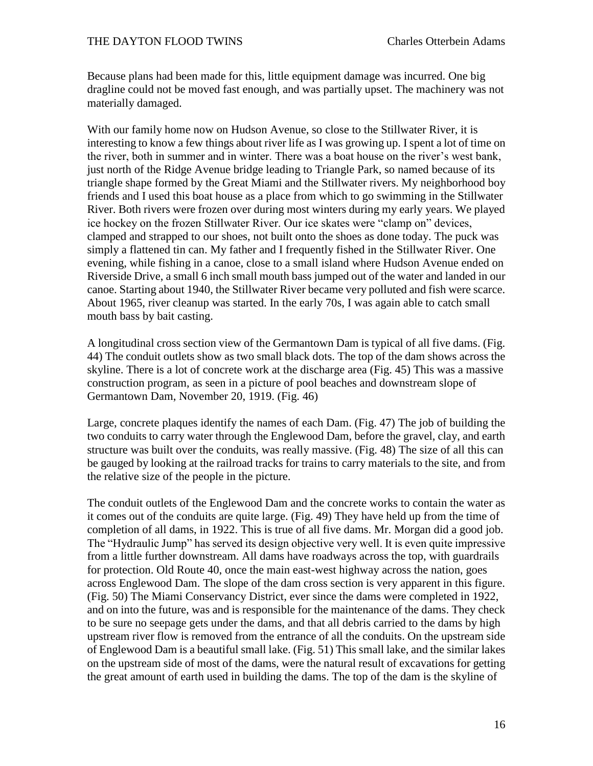Because plans had been made for this, little equipment damage was incurred. One big dragline could not be moved fast enough, and was partially upset. The machinery was not materially damaged.

With our family home now on Hudson Avenue, so close to the Stillwater River, it is interesting to know a few things about river life as I was growing up. I spent a lot of time on the river, both in summer and in winter. There was a boat house on the river's west bank, just north of the Ridge Avenue bridge leading to Triangle Park, so named because of its triangle shape formed by the Great Miami and the Stillwater rivers. My neighborhood boy friends and I used this boat house as a place from which to go swimming in the Stillwater River. Both rivers were frozen over during most winters during my early years. We played ice hockey on the frozen Stillwater River. Our ice skates were "clamp on" devices, clamped and strapped to our shoes, not built onto the shoes as done today. The puck was simply a flattened tin can. My father and I frequently fished in the Stillwater River. One evening, while fishing in a canoe, close to a small island where Hudson Avenue ended on Riverside Drive, a small 6 inch small mouth bass jumped out of the water and landed in our canoe. Starting about 1940, the Stillwater River became very polluted and fish were scarce. About 1965, river cleanup was started. In the early 70s, I was again able to catch small mouth bass by bait casting.

A longitudinal cross section view of the Germantown Dam is typical of all five dams. (Fig. 44) The conduit outlets show as two small black dots. The top of the dam shows across the skyline. There is a lot of concrete work at the discharge area (Fig. 45) This was a massive construction program, as seen in a picture of pool beaches and downstream slope of Germantown Dam, November 20, 1919. (Fig. 46)

Large, concrete plaques identify the names of each Dam. (Fig. 47) The job of building the two conduits to carry water through the Englewood Dam, before the gravel, clay, and earth structure was built over the conduits, was really massive. (Fig. 48) The size of all this can be gauged by looking at the railroad tracks for trains to carry materials to the site, and from the relative size of the people in the picture.

The conduit outlets of the Englewood Dam and the concrete works to contain the water as it comes out of the conduits are quite large. (Fig. 49) They have held up from the time of completion of all dams, in 1922. This is true of all five dams. Mr. Morgan did a good job. The "Hydraulic Jump" has served its design objective very well. It is even quite impressive from a little further downstream. All dams have roadways across the top, with guardrails for protection. Old Route 40, once the main east-west highway across the nation, goes across Englewood Dam. The slope of the dam cross section is very apparent in this figure. (Fig. 50) The Miami Conservancy District, ever since the dams were completed in 1922, and on into the future, was and is responsible for the maintenance of the dams. They check to be sure no seepage gets under the dams, and that all debris carried to the dams by high upstream river flow is removed from the entrance of all the conduits. On the upstream side of Englewood Dam is a beautiful small lake. (Fig. 51) This small lake, and the similar lakes on the upstream side of most of the dams, were the natural result of excavations for getting the great amount of earth used in building the dams. The top of the dam is the skyline of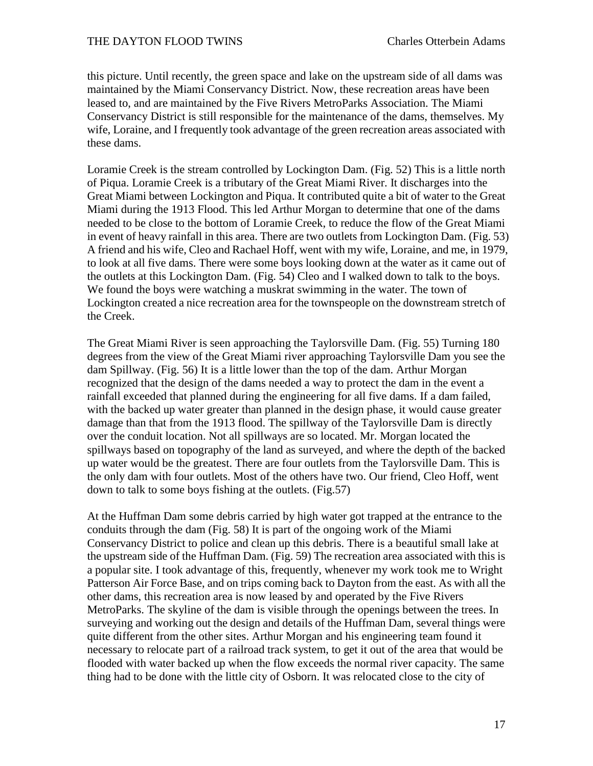this picture. Until recently, the green space and lake on the upstream side of all dams was maintained by the Miami Conservancy District. Now, these recreation areas have been leased to, and are maintained by the Five Rivers MetroParks Association. The Miami Conservancy District is still responsible for the maintenance of the dams, themselves. My wife, Loraine, and I frequently took advantage of the green recreation areas associated with these dams.

Loramie Creek is the stream controlled by Lockington Dam. (Fig. 52) This is a little north of Piqua. Loramie Creek is a tributary of the Great Miami River. It discharges into the Great Miami between Lockington and Piqua. It contributed quite a bit of water to the Great Miami during the 1913 Flood. This led Arthur Morgan to determine that one of the dams needed to be close to the bottom of Loramie Creek, to reduce the flow of the Great Miami in event of heavy rainfall in this area. There are two outlets from Lockington Dam. (Fig. 53) A friend and his wife, Cleo and Rachael Hoff, went with my wife, Loraine, and me, in 1979, to look at all five dams. There were some boys looking down at the water as it came out of the outlets at this Lockington Dam. (Fig. 54) Cleo and I walked down to talk to the boys. We found the boys were watching a muskrat swimming in the water. The town of Lockington created a nice recreation area for the townspeople on the downstream stretch of the Creek.

The Great Miami River is seen approaching the Taylorsville Dam. (Fig. 55) Turning 180 degrees from the view of the Great Miami river approaching Taylorsville Dam you see the dam Spillway. (Fig. 56) It is a little lower than the top of the dam. Arthur Morgan recognized that the design of the dams needed a way to protect the dam in the event a rainfall exceeded that planned during the engineering for all five dams. If a dam failed, with the backed up water greater than planned in the design phase, it would cause greater damage than that from the 1913 flood. The spillway of the Taylorsville Dam is directly over the conduit location. Not all spillways are so located. Mr. Morgan located the spillways based on topography of the land as surveyed, and where the depth of the backed up water would be the greatest. There are four outlets from the Taylorsville Dam. This is the only dam with four outlets. Most of the others have two. Our friend, Cleo Hoff, went down to talk to some boys fishing at the outlets. (Fig.57)

At the Huffman Dam some debris carried by high water got trapped at the entrance to the conduits through the dam (Fig. 58) It is part of the ongoing work of the Miami Conservancy District to police and clean up this debris. There is a beautiful small lake at the upstream side of the Huffman Dam. (Fig. 59) The recreation area associated with this is a popular site. I took advantage of this, frequently, whenever my work took me to Wright Patterson Air Force Base, and on trips coming back to Dayton from the east. As with all the other dams, this recreation area is now leased by and operated by the Five Rivers MetroParks. The skyline of the dam is visible through the openings between the trees. In surveying and working out the design and details of the Huffman Dam, several things were quite different from the other sites. Arthur Morgan and his engineering team found it necessary to relocate part of a railroad track system, to get it out of the area that would be flooded with water backed up when the flow exceeds the normal river capacity. The same thing had to be done with the little city of Osborn. It was relocated close to the city of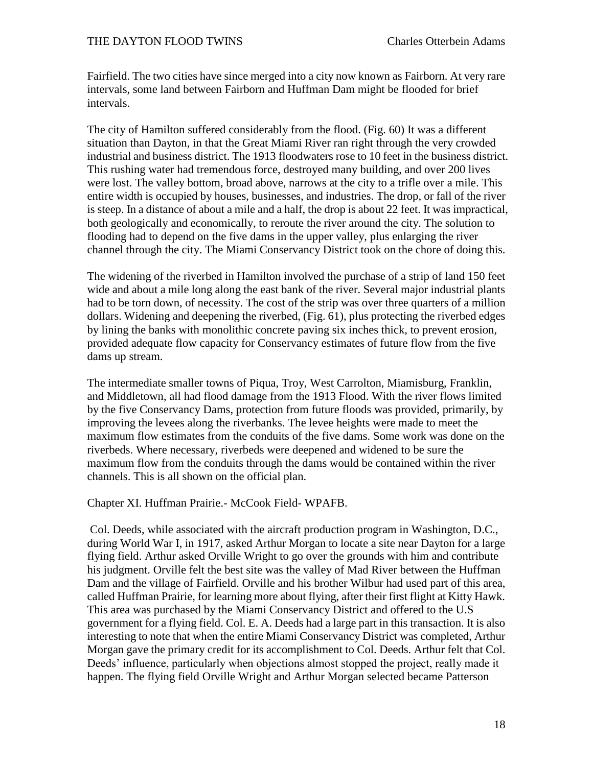Fairfield. The two cities have since merged into a city now known as Fairborn. At very rare intervals, some land between Fairborn and Huffman Dam might be flooded for brief intervals.

The city of Hamilton suffered considerably from the flood. (Fig. 60) It was a different situation than Dayton, in that the Great Miami River ran right through the very crowded industrial and business district. The 1913 floodwaters rose to 10 feet in the business district. This rushing water had tremendous force, destroyed many building, and over 200 lives were lost. The valley bottom, broad above, narrows at the city to a trifle over a mile. This entire width is occupied by houses, businesses, and industries. The drop, or fall of the river is steep. In a distance of about a mile and a half, the drop is about 22 feet. It was impractical, both geologically and economically, to reroute the river around the city. The solution to flooding had to depend on the five dams in the upper valley, plus enlarging the river channel through the city. The Miami Conservancy District took on the chore of doing this.

The widening of the riverbed in Hamilton involved the purchase of a strip of land 150 feet wide and about a mile long along the east bank of the river. Several major industrial plants had to be torn down, of necessity. The cost of the strip was over three quarters of a million dollars. Widening and deepening the riverbed, (Fig. 61), plus protecting the riverbed edges by lining the banks with monolithic concrete paving six inches thick, to prevent erosion, provided adequate flow capacity for Conservancy estimates of future flow from the five dams up stream.

The intermediate smaller towns of Piqua, Troy, West Carrolton, Miamisburg, Franklin, and Middletown, all had flood damage from the 1913 Flood. With the river flows limited by the five Conservancy Dams, protection from future floods was provided, primarily, by improving the levees along the riverbanks. The levee heights were made to meet the maximum flow estimates from the conduits of the five dams. Some work was done on the riverbeds. Where necessary, riverbeds were deepened and widened to be sure the maximum flow from the conduits through the dams would be contained within the river channels. This is all shown on the official plan.

Chapter XI. Huffman Prairie.- McCook Field- WPAFB.

Col. Deeds, while associated with the aircraft production program in Washington, D.C., during World War I, in 1917, asked Arthur Morgan to locate a site near Dayton for a large flying field. Arthur asked Orville Wright to go over the grounds with him and contribute his judgment. Orville felt the best site was the valley of Mad River between the Huffman Dam and the village of Fairfield. Orville and his brother Wilbur had used part of this area, called Huffman Prairie, for learning more about flying, after their first flight at Kitty Hawk. This area was purchased by the Miami Conservancy District and offered to the U.S government for a flying field. Col. E. A. Deeds had a large part in this transaction. It is also interesting to note that when the entire Miami Conservancy District was completed, Arthur Morgan gave the primary credit for its accomplishment to Col. Deeds. Arthur felt that Col. Deeds' influence, particularly when objections almost stopped the project, really made it happen. The flying field Orville Wright and Arthur Morgan selected became Patterson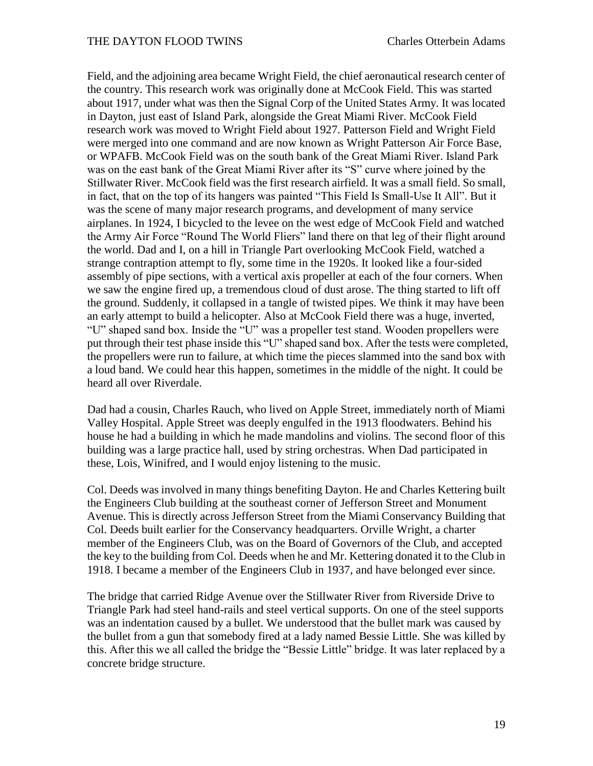Field, and the adjoining area became Wright Field, the chief aeronautical research center of the country. This research work was originally done at McCook Field. This was started about 1917, under what was then the Signal Corp of the United States Army. It was located in Dayton, just east of Island Park, alongside the Great Miami River. McCook Field research work was moved to Wright Field about 1927. Patterson Field and Wright Field were merged into one command and are now known as Wright Patterson Air Force Base, or WPAFB. McCook Field was on the south bank of the Great Miami River. Island Park was on the east bank of the Great Miami River after its "S" curve where joined by the Stillwater River. McCook field was the first research airfield. It was a small field. So small, in fact, that on the top of its hangers was painted "This Field Is Small-Use It All". But it was the scene of many major research programs, and development of many service airplanes. In 1924, I bicycled to the levee on the west edge of McCook Field and watched the Army Air Force "Round The World Fliers" land there on that leg of their flight around the world. Dad and I, on a hill in Triangle Part overlooking McCook Field, watched a strange contraption attempt to fly, some time in the 1920s. It looked like a four-sided assembly of pipe sections, with a vertical axis propeller at each of the four corners. When we saw the engine fired up, a tremendous cloud of dust arose. The thing started to lift off the ground. Suddenly, it collapsed in a tangle of twisted pipes. We think it may have been an early attempt to build a helicopter. Also at McCook Field there was a huge, inverted, "U" shaped sand box. Inside the "U" was a propeller test stand. Wooden propellers were put through their test phase inside this "U" shaped sand box. After the tests were completed, the propellers were run to failure, at which time the pieces slammed into the sand box with a loud band. We could hear this happen, sometimes in the middle of the night. It could be heard all over Riverdale.

Dad had a cousin, Charles Rauch, who lived on Apple Street, immediately north of Miami Valley Hospital. Apple Street was deeply engulfed in the 1913 floodwaters. Behind his house he had a building in which he made mandolins and violins. The second floor of this building was a large practice hall, used by string orchestras. When Dad participated in these, Lois, Winifred, and I would enjoy listening to the music.

Col. Deeds was involved in many things benefiting Dayton. He and Charles Kettering built the Engineers Club building at the southeast corner of Jefferson Street and Monument Avenue. This is directly across Jefferson Street from the Miami Conservancy Building that Col. Deeds built earlier for the Conservancy headquarters. Orville Wright, a charter member of the Engineers Club, was on the Board of Governors of the Club, and accepted the key to the building from Col. Deeds when he and Mr. Kettering donated it to the Club in 1918. I became a member of the Engineers Club in 1937, and have belonged ever since.

The bridge that carried Ridge Avenue over the Stillwater River from Riverside Drive to Triangle Park had steel hand-rails and steel vertical supports. On one of the steel supports was an indentation caused by a bullet. We understood that the bullet mark was caused by the bullet from a gun that somebody fired at a lady named Bessie Little. She was killed by this. After this we all called the bridge the "Bessie Little" bridge. It was later replaced by a concrete bridge structure.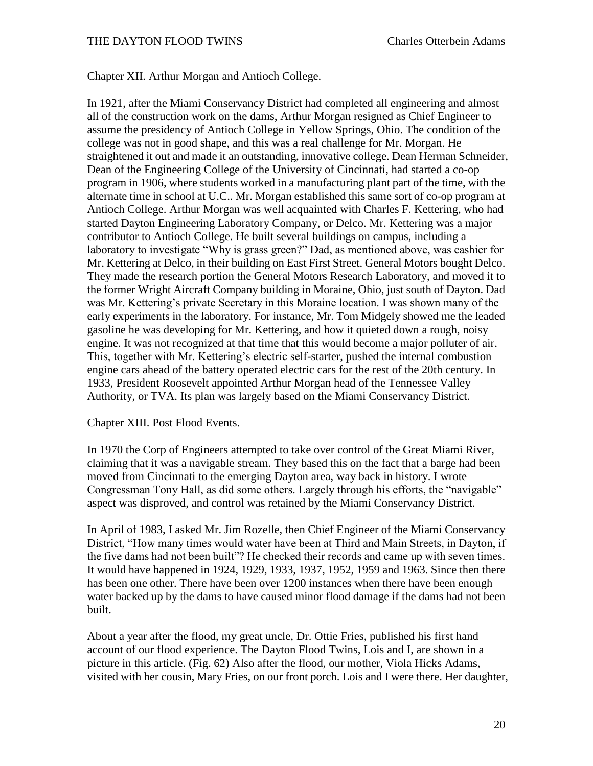Chapter XII. Arthur Morgan and Antioch College.

In 1921, after the Miami Conservancy District had completed all engineering and almost all of the construction work on the dams, Arthur Morgan resigned as Chief Engineer to assume the presidency of Antioch College in Yellow Springs, Ohio. The condition of the college was not in good shape, and this was a real challenge for Mr. Morgan. He straightened it out and made it an outstanding, innovative college. Dean Herman Schneider, Dean of the Engineering College of the University of Cincinnati, had started a co-op program in 1906, where students worked in a manufacturing plant part of the time, with the alternate time in school at U.C.. Mr. Morgan established this same sort of co-op program at Antioch College. Arthur Morgan was well acquainted with Charles F. Kettering, who had started Dayton Engineering Laboratory Company, or Delco. Mr. Kettering was a major contributor to Antioch College. He built several buildings on campus, including a laboratory to investigate "Why is grass green?" Dad, as mentioned above, was cashier for Mr. Kettering at Delco, in their building on East First Street. General Motors bought Delco. They made the research portion the General Motors Research Laboratory, and moved it to the former Wright Aircraft Company building in Moraine, Ohio, just south of Dayton. Dad was Mr. Kettering's private Secretary in this Moraine location. I was shown many of the early experiments in the laboratory. For instance, Mr. Tom Midgely showed me the leaded gasoline he was developing for Mr. Kettering, and how it quieted down a rough, noisy engine. It was not recognized at that time that this would become a major polluter of air. This, together with Mr. Kettering's electric self-starter, pushed the internal combustion engine cars ahead of the battery operated electric cars for the rest of the 20th century. In 1933, President Roosevelt appointed Arthur Morgan head of the Tennessee Valley Authority, or TVA. Its plan was largely based on the Miami Conservancy District.

## Chapter XIII. Post Flood Events.

In 1970 the Corp of Engineers attempted to take over control of the Great Miami River, claiming that it was a navigable stream. They based this on the fact that a barge had been moved from Cincinnati to the emerging Dayton area, way back in history. I wrote Congressman Tony Hall, as did some others. Largely through his efforts, the "navigable" aspect was disproved, and control was retained by the Miami Conservancy District.

In April of 1983, I asked Mr. Jim Rozelle, then Chief Engineer of the Miami Conservancy District, "How many times would water have been at Third and Main Streets, in Dayton, if the five dams had not been built"? He checked their records and came up with seven times. It would have happened in 1924, 1929, 1933, 1937, 1952, 1959 and 1963. Since then there has been one other. There have been over 1200 instances when there have been enough water backed up by the dams to have caused minor flood damage if the dams had not been built.

About a year after the flood, my great uncle, Dr. Ottie Fries, published his first hand account of our flood experience. The Dayton Flood Twins, Lois and I, are shown in a picture in this article. (Fig. 62) Also after the flood, our mother, Viola Hicks Adams, visited with her cousin, Mary Fries, on our front porch. Lois and I were there. Her daughter,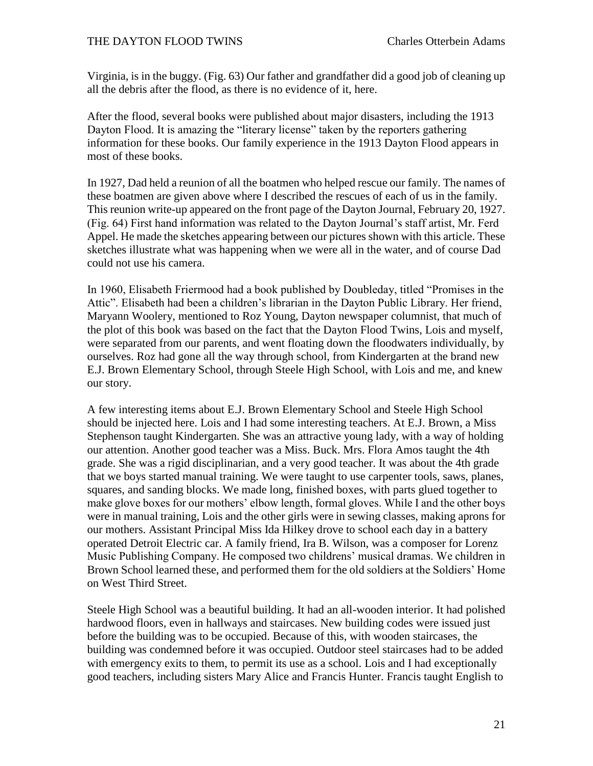Virginia, is in the buggy. (Fig. 63) Our father and grandfather did a good job of cleaning up all the debris after the flood, as there is no evidence of it, here.

After the flood, several books were published about major disasters, including the 1913 Dayton Flood. It is amazing the "literary license" taken by the reporters gathering information for these books. Our family experience in the 1913 Dayton Flood appears in most of these books.

In 1927, Dad held a reunion of all the boatmen who helped rescue our family. The names of these boatmen are given above where I described the rescues of each of us in the family. This reunion write-up appeared on the front page of the Dayton Journal, February 20, 1927. (Fig. 64) First hand information was related to the Dayton Journal's staff artist, Mr. Ferd Appel. He made the sketches appearing between our pictures shown with this article. These sketches illustrate what was happening when we were all in the water, and of course Dad could not use his camera.

In 1960, Elisabeth Friermood had a book published by Doubleday, titled "Promises in the Attic". Elisabeth had been a children's librarian in the Dayton Public Library. Her friend, Maryann Woolery, mentioned to Roz Young, Dayton newspaper columnist, that much of the plot of this book was based on the fact that the Dayton Flood Twins, Lois and myself, were separated from our parents, and went floating down the floodwaters individually, by ourselves. Roz had gone all the way through school, from Kindergarten at the brand new E.J. Brown Elementary School, through Steele High School, with Lois and me, and knew our story.

A few interesting items about E.J. Brown Elementary School and Steele High School should be injected here. Lois and I had some interesting teachers. At E.J. Brown, a Miss Stephenson taught Kindergarten. She was an attractive young lady, with a way of holding our attention. Another good teacher was a Miss. Buck. Mrs. Flora Amos taught the 4th grade. She was a rigid disciplinarian, and a very good teacher. It was about the 4th grade that we boys started manual training. We were taught to use carpenter tools, saws, planes, squares, and sanding blocks. We made long, finished boxes, with parts glued together to make glove boxes for our mothers' elbow length, formal gloves. While I and the other boys were in manual training, Lois and the other girls were in sewing classes, making aprons for our mothers. Assistant Principal Miss Ida Hilkey drove to school each day in a battery operated Detroit Electric car. A family friend, Ira B. Wilson, was a composer for Lorenz Music Publishing Company. He composed two childrens' musical dramas. We children in Brown School learned these, and performed them for the old soldiers at the Soldiers' Home on West Third Street.

Steele High School was a beautiful building. It had an all-wooden interior. It had polished hardwood floors, even in hallways and staircases. New building codes were issued just before the building was to be occupied. Because of this, with wooden staircases, the building was condemned before it was occupied. Outdoor steel staircases had to be added with emergency exits to them, to permit its use as a school. Lois and I had exceptionally good teachers, including sisters Mary Alice and Francis Hunter. Francis taught English to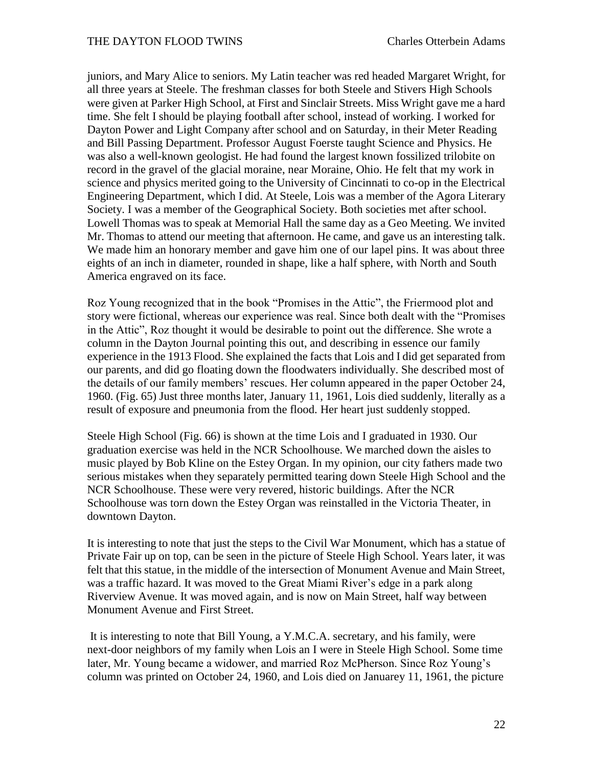juniors, and Mary Alice to seniors. My Latin teacher was red headed Margaret Wright, for all three years at Steele. The freshman classes for both Steele and Stivers High Schools were given at Parker High School, at First and Sinclair Streets. Miss Wright gave me a hard time. She felt I should be playing football after school, instead of working. I worked for Dayton Power and Light Company after school and on Saturday, in their Meter Reading and Bill Passing Department. Professor August Foerste taught Science and Physics. He was also a well-known geologist. He had found the largest known fossilized trilobite on record in the gravel of the glacial moraine, near Moraine, Ohio. He felt that my work in science and physics merited going to the University of Cincinnati to co-op in the Electrical Engineering Department, which I did. At Steele, Lois was a member of the Agora Literary Society. I was a member of the Geographical Society. Both societies met after school. Lowell Thomas was to speak at Memorial Hall the same day as a Geo Meeting. We invited Mr. Thomas to attend our meeting that afternoon. He came, and gave us an interesting talk. We made him an honorary member and gave him one of our lapel pins. It was about three eights of an inch in diameter, rounded in shape, like a half sphere, with North and South America engraved on its face.

Roz Young recognized that in the book "Promises in the Attic", the Friermood plot and story were fictional, whereas our experience was real. Since both dealt with the "Promises in the Attic", Roz thought it would be desirable to point out the difference. She wrote a column in the Dayton Journal pointing this out, and describing in essence our family experience in the 1913 Flood. She explained the facts that Lois and I did get separated from our parents, and did go floating down the floodwaters individually. She described most of the details of our family members' rescues. Her column appeared in the paper October 24, 1960. (Fig. 65) Just three months later, January 11, 1961, Lois died suddenly, literally as a result of exposure and pneumonia from the flood. Her heart just suddenly stopped.

Steele High School (Fig. 66) is shown at the time Lois and I graduated in 1930. Our graduation exercise was held in the NCR Schoolhouse. We marched down the aisles to music played by Bob Kline on the Estey Organ. In my opinion, our city fathers made two serious mistakes when they separately permitted tearing down Steele High School and the NCR Schoolhouse. These were very revered, historic buildings. After the NCR Schoolhouse was torn down the Estey Organ was reinstalled in the Victoria Theater, in downtown Dayton.

It is interesting to note that just the steps to the Civil War Monument, which has a statue of Private Fair up on top, can be seen in the picture of Steele High School. Years later, it was felt that this statue, in the middle of the intersection of Monument Avenue and Main Street, was a traffic hazard. It was moved to the Great Miami River's edge in a park along Riverview Avenue. It was moved again, and is now on Main Street, half way between Monument Avenue and First Street.

It is interesting to note that Bill Young, a Y.M.C.A. secretary, and his family, were next-door neighbors of my family when Lois an I were in Steele High School. Some time later, Mr. Young became a widower, and married Roz McPherson. Since Roz Young's column was printed on October 24, 1960, and Lois died on Januarey 11, 1961, the picture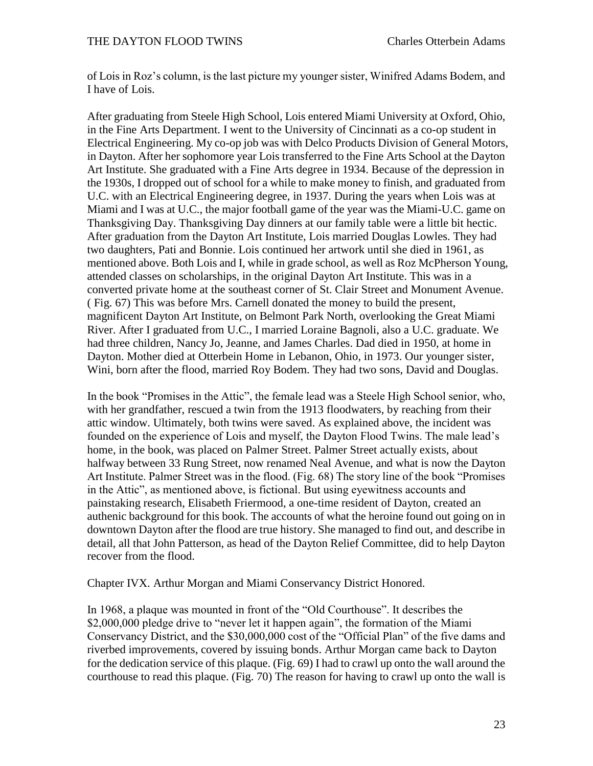of Lois in Roz's column, is the last picture my younger sister, Winifred Adams Bodem, and I have of Lois.

After graduating from Steele High School, Lois entered Miami University at Oxford, Ohio, in the Fine Arts Department. I went to the University of Cincinnati as a co-op student in Electrical Engineering. My co-op job was with Delco Products Division of General Motors, in Dayton. After her sophomore year Lois transferred to the Fine Arts School at the Dayton Art Institute. She graduated with a Fine Arts degree in 1934. Because of the depression in the 1930s, I dropped out of school for a while to make money to finish, and graduated from U.C. with an Electrical Engineering degree, in 1937. During the years when Lois was at Miami and I was at U.C., the major football game of the year was the Miami-U.C. game on Thanksgiving Day. Thanksgiving Day dinners at our family table were a little bit hectic. After graduation from the Dayton Art Institute, Lois married Douglas Lowles. They had two daughters, Pati and Bonnie. Lois continued her artwork until she died in 1961, as mentioned above. Both Lois and I, while in grade school, as well as Roz McPherson Young, attended classes on scholarships, in the original Dayton Art Institute. This was in a converted private home at the southeast corner of St. Clair Street and Monument Avenue. ( Fig. 67) This was before Mrs. Carnell donated the money to build the present, magnificent Dayton Art Institute, on Belmont Park North, overlooking the Great Miami River. After I graduated from U.C., I married Loraine Bagnoli, also a U.C. graduate. We had three children, Nancy Jo, Jeanne, and James Charles. Dad died in 1950, at home in Dayton. Mother died at Otterbein Home in Lebanon, Ohio, in 1973. Our younger sister, Wini, born after the flood, married Roy Bodem. They had two sons, David and Douglas.

In the book "Promises in the Attic", the female lead was a Steele High School senior, who, with her grandfather, rescued a twin from the 1913 floodwaters, by reaching from their attic window. Ultimately, both twins were saved. As explained above, the incident was founded on the experience of Lois and myself, the Dayton Flood Twins. The male lead's home, in the book, was placed on Palmer Street. Palmer Street actually exists, about halfway between 33 Rung Street, now renamed Neal Avenue, and what is now the Dayton Art Institute. Palmer Street was in the flood. (Fig. 68) The story line of the book "Promises in the Attic", as mentioned above, is fictional. But using eyewitness accounts and painstaking research, Elisabeth Friermood, a one-time resident of Dayton, created an authenic background for this book. The accounts of what the heroine found out going on in downtown Dayton after the flood are true history. She managed to find out, and describe in detail, all that John Patterson, as head of the Dayton Relief Committee, did to help Dayton recover from the flood.

Chapter IVX. Arthur Morgan and Miami Conservancy District Honored.

In 1968, a plaque was mounted in front of the "Old Courthouse". It describes the \$2,000,000 pledge drive to "never let it happen again", the formation of the Miami Conservancy District, and the \$30,000,000 cost of the "Official Plan" of the five dams and riverbed improvements, covered by issuing bonds. Arthur Morgan came back to Dayton for the dedication service of this plaque. (Fig. 69) I had to crawl up onto the wall around the courthouse to read this plaque. (Fig. 70) The reason for having to crawl up onto the wall is